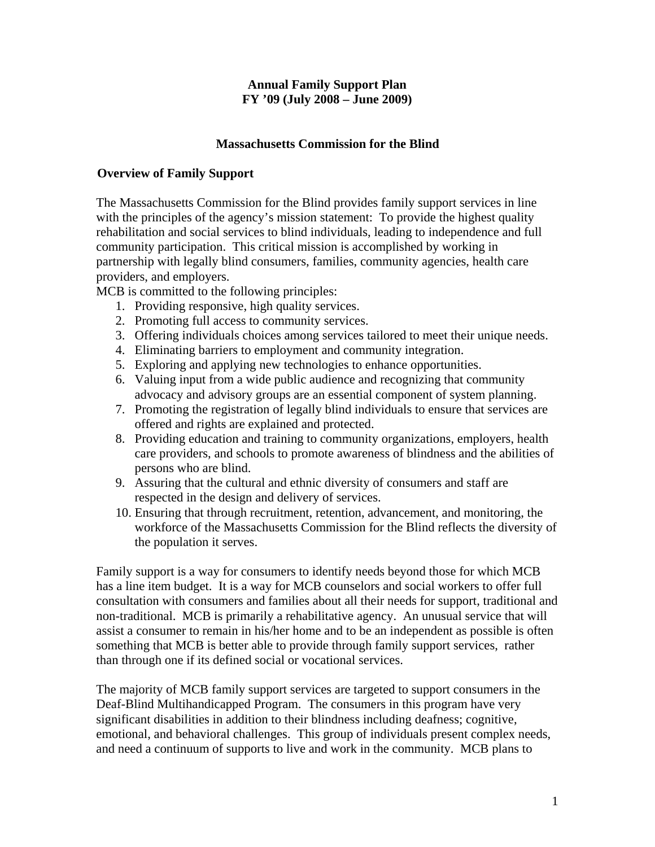#### **Annual Family Support Plan FY '09 (July 2008 – June 2009)**

#### **Massachusetts Commission for the Blind**

### **Overview of Family Support**

The Massachusetts Commission for the Blind provides family support services in line with the principles of the agency's mission statement: To provide the highest quality rehabilitation and social services to blind individuals, leading to independence and full community participation. This critical mission is accomplished by working in partnership with legally blind consumers, families, community agencies, health care providers, and employers.

MCB is committed to the following principles:

- 1. Providing responsive, high quality services.
- 2. Promoting full access to community services.
- 3. Offering individuals choices among services tailored to meet their unique needs.
- 4. Eliminating barriers to employment and community integration.
- 5. Exploring and applying new technologies to enhance opportunities.
- 6. Valuing input from a wide public audience and recognizing that community advocacy and advisory groups are an essential component of system planning.
- 7. Promoting the registration of legally blind individuals to ensure that services are offered and rights are explained and protected.
- 8. Providing education and training to community organizations, employers, health care providers, and schools to promote awareness of blindness and the abilities of persons who are blind.
- 9. Assuring that the cultural and ethnic diversity of consumers and staff are respected in the design and delivery of services.
- 10. Ensuring that through recruitment, retention, advancement, and monitoring, the workforce of the Massachusetts Commission for the Blind reflects the diversity of the population it serves.

Family support is a way for consumers to identify needs beyond those for which MCB has a line item budget. It is a way for MCB counselors and social workers to offer full consultation with consumers and families about all their needs for support, traditional and non-traditional. MCB is primarily a rehabilitative agency. An unusual service that will assist a consumer to remain in his/her home and to be an independent as possible is often something that MCB is better able to provide through family support services, rather than through one if its defined social or vocational services.

The majority of MCB family support services are targeted to support consumers in the Deaf-Blind Multihandicapped Program. The consumers in this program have very significant disabilities in addition to their blindness including deafness; cognitive, emotional, and behavioral challenges. This group of individuals present complex needs, and need a continuum of supports to live and work in the community. MCB plans to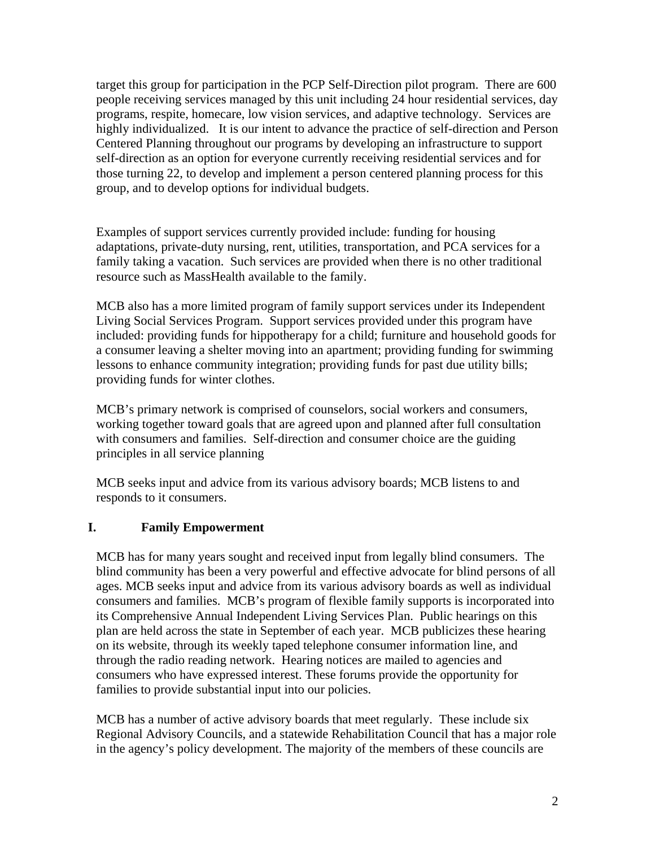target this group for participation in the PCP Self-Direction pilot program. There are 600 people receiving services managed by this unit including 24 hour residential services, day programs, respite, homecare, low vision services, and adaptive technology. Services are highly individualized. It is our intent to advance the practice of self-direction and Person Centered Planning throughout our programs by developing an infrastructure to support self-direction as an option for everyone currently receiving residential services and for those turning 22, to develop and implement a person centered planning process for this group, and to develop options for individual budgets.

Examples of support services currently provided include: funding for housing adaptations, private-duty nursing, rent, utilities, transportation, and PCA services for a family taking a vacation. Such services are provided when there is no other traditional resource such as MassHealth available to the family.

MCB also has a more limited program of family support services under its Independent Living Social Services Program. Support services provided under this program have included: providing funds for hippotherapy for a child; furniture and household goods for a consumer leaving a shelter moving into an apartment; providing funding for swimming lessons to enhance community integration; providing funds for past due utility bills; providing funds for winter clothes.

MCB's primary network is comprised of counselors, social workers and consumers, working together toward goals that are agreed upon and planned after full consultation with consumers and families. Self-direction and consumer choice are the guiding principles in all service planning

MCB seeks input and advice from its various advisory boards; MCB listens to and responds to it consumers.

### **I. Family Empowerment**

MCB has for many years sought and received input from legally blind consumers. The blind community has been a very powerful and effective advocate for blind persons of all ages. MCB seeks input and advice from its various advisory boards as well as individual consumers and families. MCB's program of flexible family supports is incorporated into its Comprehensive Annual Independent Living Services Plan. Public hearings on this plan are held across the state in September of each year. MCB publicizes these hearing on its website, through its weekly taped telephone consumer information line, and through the radio reading network. Hearing notices are mailed to agencies and consumers who have expressed interest. These forums provide the opportunity for families to provide substantial input into our policies.

MCB has a number of active advisory boards that meet regularly. These include six Regional Advisory Councils, and a statewide Rehabilitation Council that has a major role in the agency's policy development. The majority of the members of these councils are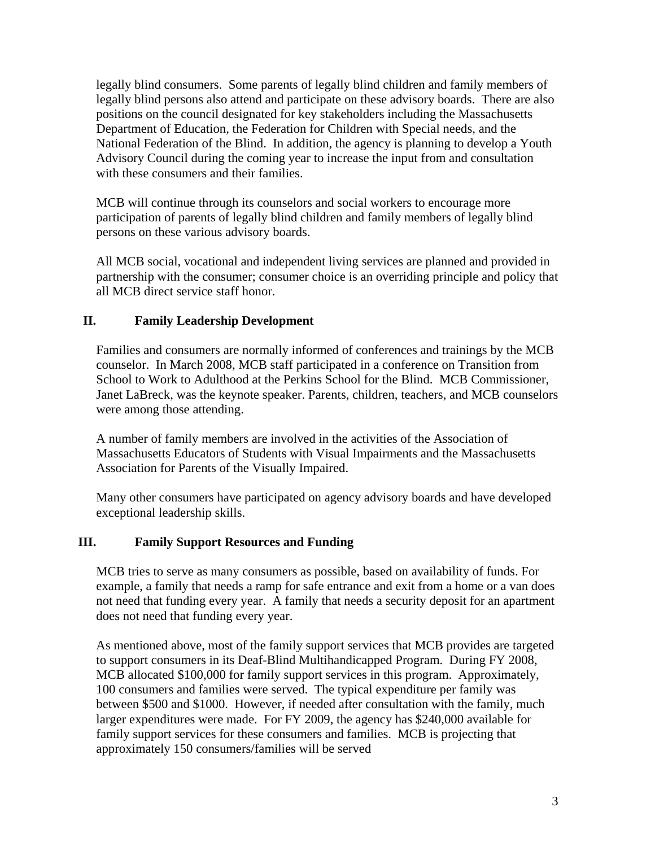legally blind consumers. Some parents of legally blind children and family members of legally blind persons also attend and participate on these advisory boards. There are also positions on the council designated for key stakeholders including the Massachusetts Department of Education, the Federation for Children with Special needs, and the National Federation of the Blind. In addition, the agency is planning to develop a Youth Advisory Council during the coming year to increase the input from and consultation with these consumers and their families.

MCB will continue through its counselors and social workers to encourage more participation of parents of legally blind children and family members of legally blind persons on these various advisory boards.

All MCB social, vocational and independent living services are planned and provided in partnership with the consumer; consumer choice is an overriding principle and policy that all MCB direct service staff honor.

## **II. Family Leadership Development**

Families and consumers are normally informed of conferences and trainings by the MCB counselor. In March 2008, MCB staff participated in a conference on Transition from School to Work to Adulthood at the Perkins School for the Blind. MCB Commissioner, Janet LaBreck, was the keynote speaker. Parents, children, teachers, and MCB counselors were among those attending.

A number of family members are involved in the activities of the Association of Massachusetts Educators of Students with Visual Impairments and the Massachusetts Association for Parents of the Visually Impaired.

Many other consumers have participated on agency advisory boards and have developed exceptional leadership skills.

### **III. Family Support Resources and Funding**

MCB tries to serve as many consumers as possible, based on availability of funds. For example, a family that needs a ramp for safe entrance and exit from a home or a van does not need that funding every year. A family that needs a security deposit for an apartment does not need that funding every year.

As mentioned above, most of the family support services that MCB provides are targeted to support consumers in its Deaf-Blind Multihandicapped Program. During FY 2008, MCB allocated \$100,000 for family support services in this program. Approximately, 100 consumers and families were served. The typical expenditure per family was between \$500 and \$1000. However, if needed after consultation with the family, much larger expenditures were made. For FY 2009, the agency has \$240,000 available for family support services for these consumers and families. MCB is projecting that approximately 150 consumers/families will be served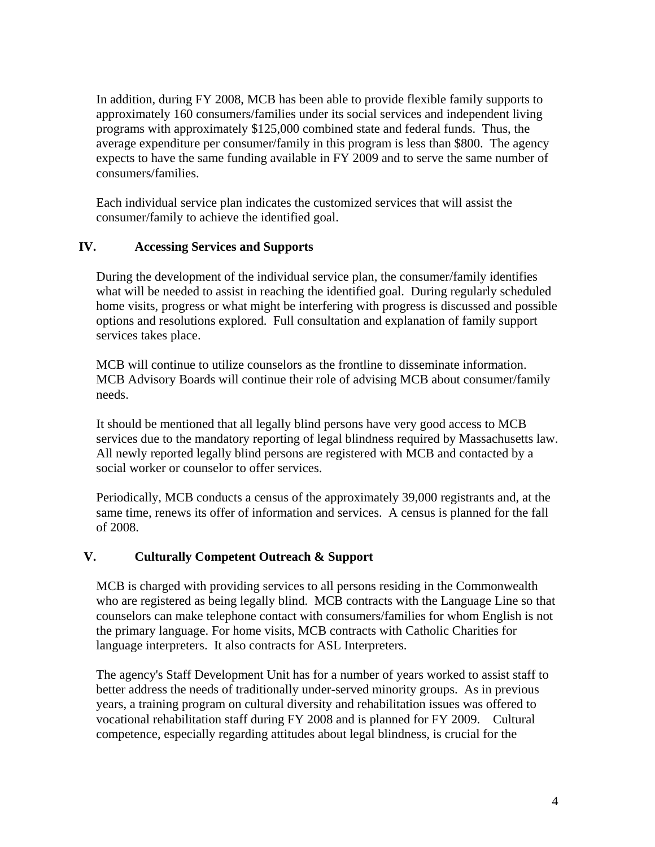In addition, during FY 2008, MCB has been able to provide flexible family supports to approximately 160 consumers/families under its social services and independent living programs with approximately \$125,000 combined state and federal funds. Thus, the average expenditure per consumer/family in this program is less than \$800. The agency expects to have the same funding available in FY 2009 and to serve the same number of consumers/families.

Each individual service plan indicates the customized services that will assist the consumer/family to achieve the identified goal.

## **IV. Accessing Services and Supports**

During the development of the individual service plan, the consumer/family identifies what will be needed to assist in reaching the identified goal. During regularly scheduled home visits, progress or what might be interfering with progress is discussed and possible options and resolutions explored. Full consultation and explanation of family support services takes place.

MCB will continue to utilize counselors as the frontline to disseminate information. MCB Advisory Boards will continue their role of advising MCB about consumer/family needs.

It should be mentioned that all legally blind persons have very good access to MCB services due to the mandatory reporting of legal blindness required by Massachusetts law. All newly reported legally blind persons are registered with MCB and contacted by a social worker or counselor to offer services.

Periodically, MCB conducts a census of the approximately 39,000 registrants and, at the same time, renews its offer of information and services. A census is planned for the fall of 2008.

# **V. Culturally Competent Outreach & Support**

MCB is charged with providing services to all persons residing in the Commonwealth who are registered as being legally blind. MCB contracts with the Language Line so that counselors can make telephone contact with consumers/families for whom English is not the primary language. For home visits, MCB contracts with Catholic Charities for language interpreters. It also contracts for ASL Interpreters.

The agency's Staff Development Unit has for a number of years worked to assist staff to better address the needs of traditionally under-served minority groups. As in previous years, a training program on cultural diversity and rehabilitation issues was offered to vocational rehabilitation staff during FY 2008 and is planned for FY 2009. Cultural competence, especially regarding attitudes about legal blindness, is crucial for the